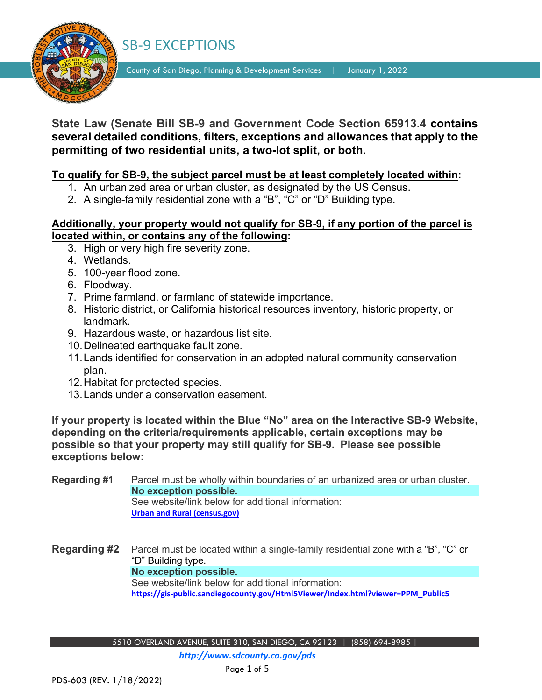

County of San Diego, Planning & Development Services | January 1, 2022

## **State Law (Senate Bill SB-9 and Government Code Section 65913.4 contains several detailed conditions, filters, exceptions and allowances that apply to the permitting of two residential units, a two-lot split, or both.**

### **To qualify for SB-9, the subject parcel must be at least completely located within:**

- 1. An urbanized area or urban cluster, as designated by the US Census.
- 2. A single-family residential zone with a "B", "C" or "D" Building type.

### **Additionally, your property would not qualify for SB-9, if any portion of the parcel is located within, or contains any of the following:**

- 3. High or very high fire severity zone.
- 4. Wetlands.
- 5. 100-year flood zone.
- 6. Floodway.
- 7. Prime farmland, or farmland of statewide importance.
- 8. Historic district, or California historical resources inventory, historic property, or landmark.
- 9. Hazardous waste, or hazardous list site.
- 10.Delineated earthquake fault zone.
- 11.Lands identified for conservation in an adopted natural community conservation plan.
- 12.Habitat for protected species.
- 13.Lands under a conservation easement.

**If your property is located within the Blue "No" area on the Interactive SB-9 Website, depending on the criteria/requirements applicable, certain exceptions may be possible so that your property may still qualify for SB-9. Please see possible exceptions below:**

**Regarding #1** Parcel must be wholly within boundaries of an urbanized area or urban cluster. **No exception possible.** See website/link below for additional information: **[Urban and Rural \(census.gov\)](https://www.census.gov/programs-surveys/geography/guidance/geo-areas/urban-rural.html)**

**Regarding #2** Parcel must be located within a single-family residential zone with a "B", "C" or "D" Building type. **No exception possible.** See website/link below for additional information: **[https://gis-public.sandiegocounty.gov/Html5Viewer/Index.html?viewer=PPM\\_Public5](https://gis-public.sandiegocounty.gov/Html5Viewer/Index.html?viewer=PPM_Public5)**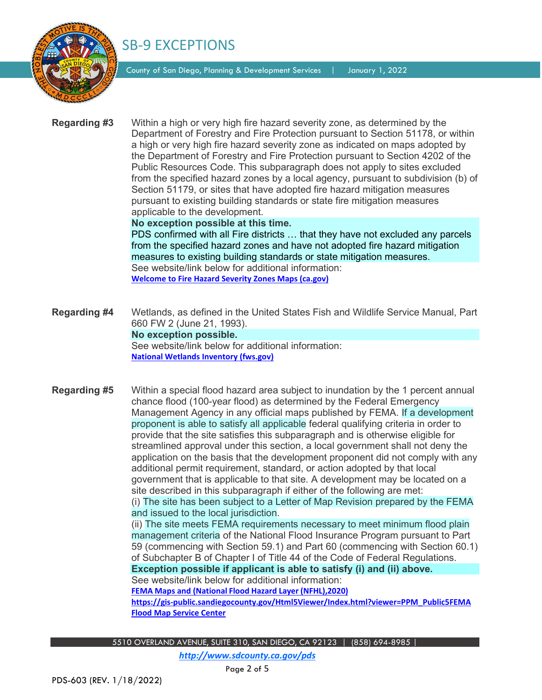

County of San Diego, Planning & Development Services | January 1, 2022

**Regarding #3** Within a high or very high fire hazard severity zone, as determined by the Department of Forestry and Fire Protection pursuant to Section 51178, or within a high or very high fire hazard severity zone as indicated on maps adopted by the Department of Forestry and Fire Protection pursuant to Section 4202 of the Public Resources Code. This subparagraph does not apply to sites excluded from the specified hazard zones by a local agency, pursuant to subdivision (b) of Section 51179, or sites that have adopted fire hazard mitigation measures pursuant to existing building standards or state fire mitigation measures applicable to the development.

#### **No exception possible at this time.**

PDS confirmed with all Fire districts … that they have not excluded any parcels from the specified hazard zones and have not adopted fire hazard mitigation measures to existing building standards or state mitigation measures. See website/link below for additional information: **[Welcome to Fire Hazard Severity Zones Maps \(ca.gov\)](https://osfm.fire.ca.gov/divisions/community-wildfire-preparedness-and-mitigation/wildland-hazards-building-codes/fire-hazard-severity-zones-maps/)**

**Regarding #4** Wetlands, as defined in the United States Fish and Wildlife Service Manual, Part 660 FW 2 (June 21, 1993). **No exception possible.**  See website/link below for additional information: **[National Wetlands Inventory \(fws.gov\)](https://fws.gov/wetlands/)**

**Regarding #5** Within a special flood hazard area subject to inundation by the 1 percent annual chance flood (100-year flood) as determined by the Federal Emergency Management Agency in any official maps published by FEMA. If a development proponent is able to satisfy all applicable federal qualifying criteria in order to provide that the site satisfies this subparagraph and is otherwise eligible for streamlined approval under this section, a local government shall not deny the application on the basis that the development proponent did not comply with any additional permit requirement, standard, or action adopted by that local government that is applicable to that site. A development may be located on a site described in this subparagraph if either of the following are met: (i) The site has been subject to a Letter of Map Revision prepared by the FEMA and issued to the local jurisdiction.

(ii) The site meets FEMA requirements necessary to meet minimum flood plain management criteria of the National Flood Insurance Program pursuant to Part 59 (commencing with Section 59.1) and Part 60 (commencing with Section 60.1) of Subchapter B of Chapter I of Title 44 of the Code of Federal Regulations. **Exception possible if applicant is able to satisfy (i) and (ii) above.** See website/link below for additional information:

**FEMA Maps and (National Flood Hazard Layer (NFHL),2020)**

**[https://gis-public.sandiegocounty.gov/Html5Viewer/Index.html?viewer=PPM\\_Public5](https://gis-public.sandiegocounty.gov/Html5Viewer/Index.html?viewer=PPM_Public5)[FEMA](https://msc.fema.gov/portal/home)  [Flood Map Service](https://msc.fema.gov/portal/home) Center**

5510 OVERLAND AVENUE, SUITE 310, SAN DIEGO, CA 92123 | (858) 694-8985 |

*http://www.sdcounty.ca.gov/pds*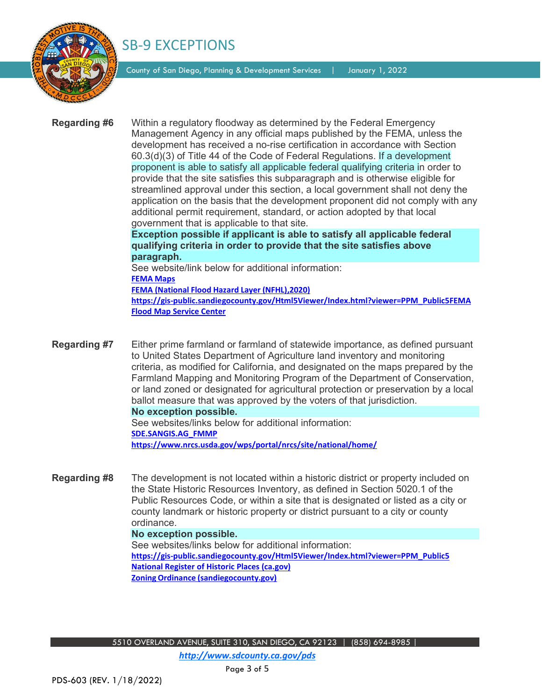

County of San Diego, Planning & Development Services | January 1, 2022

**Regarding #6** Within a regulatory floodway as determined by the Federal Emergency Management Agency in any official maps published by the FEMA, unless the development has received a no-rise certification in accordance with Section 60.3(d)(3) of Title 44 of the Code of Federal Regulations. If a development proponent is able to satisfy all applicable federal qualifying criteria in order to provide that the site satisfies this subparagraph and is otherwise eligible for streamlined approval under this section, a local government shall not deny the application on the basis that the development proponent did not comply with any additional permit requirement, standard, or action adopted by that local government that is applicable to that site. **Exception possible if applicant is able to satisfy all applicable federal** 

**qualifying criteria in order to provide that the site satisfies above paragraph.**

See website/link below for additional information: **FEMA Maps FEMA (National Flood Hazard Layer (NFHL),2020) [https://gis-public.sandiegocounty.gov/Html5Viewer/Index.html?viewer=PPM\\_Public5](https://gis-public.sandiegocounty.gov/Html5Viewer/Index.html?viewer=PPM_Public5)[FEMA](https://msc.fema.gov/portal/home)  [Flood Map Service](https://msc.fema.gov/portal/home) Center**

**Regarding #7** Either prime farmland or farmland of statewide importance, as defined pursuant to United States Department of Agriculture land inventory and monitoring criteria, as modified for California, and designated on the maps prepared by the Farmland Mapping and Monitoring Program of the Department of Conservation, or land zoned or designated for agricultural protection or preservation by a local ballot measure that was approved by the voters of that jurisdiction. **No exception possible.**  See websites/links below for additional information:

**SDE.SANGIS.AG\_FMMP**

**<https://www.nrcs.usda.gov/wps/portal/nrcs/site/national/home/>**

**Regarding #8** The development is not located within a historic district or property included on the State Historic Resources Inventory, as defined in Section 5020.1 of the Public Resources Code, or within a site that is designated or listed as a city or county landmark or historic property or district pursuant to a city or county ordinance.

#### **No exception possible.**

See websites/links below for additional information: **[https://gis-public.sandiegocounty.gov/Html5Viewer/Index.html?viewer=PPM\\_Public5](https://gis-public.sandiegocounty.gov/Html5Viewer/Index.html?viewer=PPM_Public5) [National Register of Historic Places \(ca.gov\)](https://ohp.parks.ca.gov/?page_id=21237) Zoning Ordinance [\(sandiegocounty.gov\)](https://www.sandiegocounty.gov/pds/zoning/index.html)**

*http://www.sdcounty.ca.gov/pds*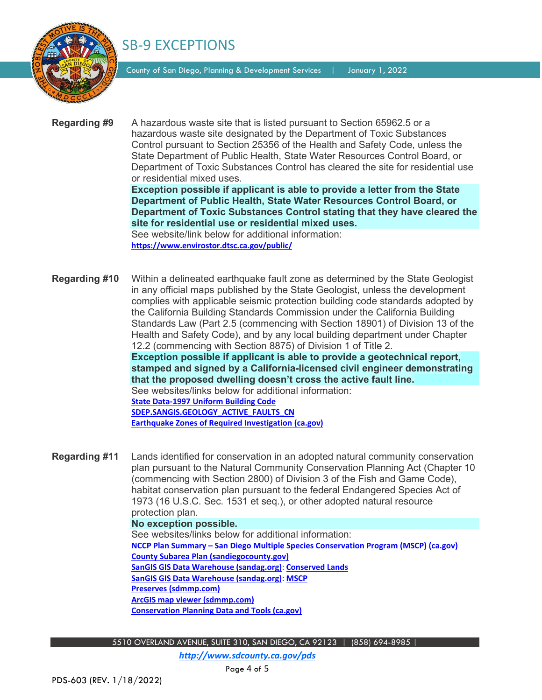

County of San Diego, Planning & Development Services | January 1, 2022

**Regarding #9** A hazardous waste site that is listed pursuant to Section 65962.5 or a hazardous waste site designated by the Department of Toxic Substances Control pursuant to Section 25356 of the Health and Safety Code, unless the State Department of Public Health, State Water Resources Control Board, or Department of Toxic Substances Control has cleared the site for residential use or residential mixed uses.

**Exception possible if applicant is able to provide a letter from the State Department of Public Health, State Water Resources Control Board, or Department of Toxic Substances Control stating that they have cleared the site for residential use or residential mixed uses.**

See website/link below for additional information: **<https://www.envirostor.dtsc.ca.gov/public/>**

**Regarding #10** Within a delineated earthquake fault zone as determined by the State Geologist in any official maps published by the State Geologist, unless the development complies with applicable seismic protection building code standards adopted by the California Building Standards Commission under the California Building Standards Law (Part 2.5 (commencing with Section 18901) of Division 13 of the Health and Safety Code), and by any local building department under Chapter 12.2 (commencing with Section 8875) of Division 1 of Title 2. **Exception possible if applicant is able to provide a geotechnical report, stamped and signed by a California-licensed civil engineer demonstrating that the proposed dwelling doesn't cross the active fault line.** See websites/links below for additional information: **State Data-1997 Uniform Building Code SDEP.SANGIS.GEOLOGY\_ACTIVE\_FAULTS\_CN [Earthquake Zones of Required Investigation \(ca.gov\)](https://maps.conservation.ca.gov/cgs/EQZApp/app/)**

**Regarding #11** Lands identified for conservation in an adopted natural community conservation plan pursuant to the Natural Community Conservation Planning Act (Chapter 10 (commencing with Section 2800) of Division 3 of the Fish and Game Code), habitat conservation plan pursuant to the federal Endangered Species Act of 1973 (16 U.S.C. Sec. 1531 et seq.), or other adopted natural resource protection plan.

**No exception possible.**  See websites/links below for additional information: **NCCP Plan Summary – [San Diego Multiple Species Conservation Program \(MSCP\) \(ca.gov\)](https://wildlife.ca.gov/Conservation/Planning/NCCP/Plans/San-Diego-MSCP) [County Subarea Plan \(sandiegocounty.gov\)](https://www.sandiegocounty.gov/content/sdc/pds/mscp/sc.html) SanGIS GIS Data Warehouse [\(sandag.org\)](https://rdw.sandag.org/Account/gisdtview?dir=Ecology)**: **[Conserved Lands](https://rdw.sandag.org/Account/GetFSFile.aspx?dir=Ecology&Name=Conserved_Lands.zip) SanGIS GIS Data Warehouse [\(sandag.org\)](https://rdw.sandag.org/Account/gisdtview?dir=Ecology)**: **[MSCP](https://rdw.sandag.org/Account/GetFSFile.aspx?dir=Ecology&Name=MSCP_CN.zip) [Preserves \(sdmmp.com\)](https://sdmmp.com/preserves.php) [ArcGIS map viewer \(sdmmp.com\)](https://sdmmp.com/gis_viewer.php) [Conservation Planning Data and Tools \(ca.gov\)](https://wildlife.ca.gov/Conservation/Planning/Data-and-Tools)**

5510 OVERLAND AVENUE, SUITE 310, SAN DIEGO, CA 92123 | (858) 694-8985 |

*http://www.sdcounty.ca.gov/pds*